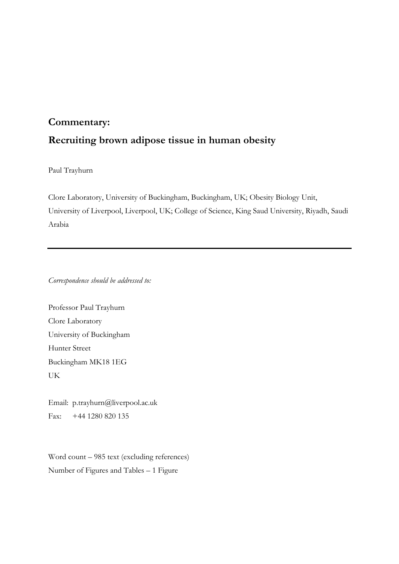## **Commentary: Recruiting brown adipose tissue in human obesity**

Paul Trayhurn

Clore Laboratory, University of Buckingham, Buckingham, UK; Obesity Biology Unit, University of Liverpool, Liverpool, UK; College of Science, King Saud University, Riyadh, Saudi Arabia

*Correspondence should be addressed to:*

Professor Paul Trayhurn Clore Laboratory University of Buckingham Hunter Street Buckingham MK18 1EG UK

Email: p.trayhurn@liverpool.ac.uk Fax: +44 1280 820 135

Word count – 985 text (excluding references) Number of Figures and Tables – 1 Figure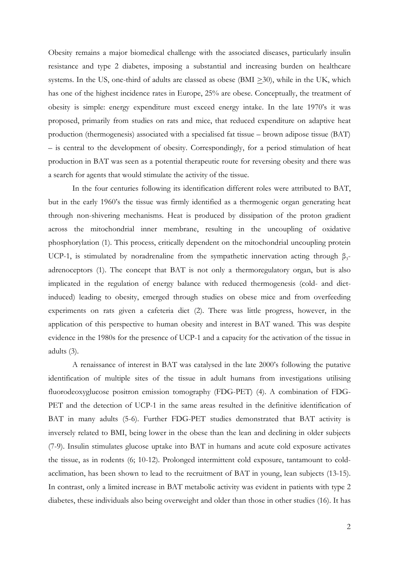Obesity remains a major biomedical challenge with the associated diseases, particularly insulin resistance and type 2 diabetes, imposing a substantial and increasing burden on healthcare systems. In the US, one-third of adults are classed as obese (BMI  $\geq$ 30), while in the UK, which has one of the highest incidence rates in Europe, 25% are obese. Conceptually, the treatment of obesity is simple: energy expenditure must exceed energy intake. In the late 1970's it was proposed, primarily from studies on rats and mice, that reduced expenditure on adaptive heat production (thermogenesis) associated with a specialised fat tissue – brown adipose tissue (BAT) – is central to the development of obesity. Correspondingly, for a period stimulation of heat production in BAT was seen as a potential therapeutic route for reversing obesity and there was a search for agents that would stimulate the activity of the tissue.

In the four centuries following its identification different roles were attributed to BAT, but in the early 1960's the tissue was firmly identified as a thermogenic organ generating heat through non-shivering mechanisms. Heat is produced by dissipation of the proton gradient across the mitochondrial inner membrane, resulting in the uncoupling of oxidative phosphorylation (1). This process, critically dependent on the mitochondrial uncoupling protein UCP-1, is stimulated by noradrenaline from the sympathetic innervation acting through  $\beta_3$ adrenoceptors (1). The concept that BAT is not only a thermoregulatory organ, but is also implicated in the regulation of energy balance with reduced thermogenesis (cold- and dietinduced) leading to obesity, emerged through studies on obese mice and from overfeeding experiments on rats given a cafeteria diet (2). There was little progress, however, in the application of this perspective to human obesity and interest in BAT waned. This was despite evidence in the 1980s for the presence of UCP-1 and a capacity for the activation of the tissue in adults (3).

A renaissance of interest in BAT was catalysed in the late 2000's following the putative identification of multiple sites of the tissue in adult humans from investigations utilising fluorodeoxyglucose positron emission tomography (FDG-PET) (4). A combination of FDG-PET and the detection of UCP-1 in the same areas resulted in the definitive identification of BAT in many adults (5-6). Further FDG-PET studies demonstrated that BAT activity is inversely related to BMI, being lower in the obese than the lean and declining in older subjects (7-9). Insulin stimulates glucose uptake into BAT in humans and acute cold exposure activates the tissue, as in rodents (6; 10-12). Prolonged intermittent cold exposure, tantamount to coldacclimation, has been shown to lead to the recruitment of BAT in young, lean subjects (13-15). In contrast, only a limited increase in BAT metabolic activity was evident in patients with type 2 diabetes, these individuals also being overweight and older than those in other studies (16). It has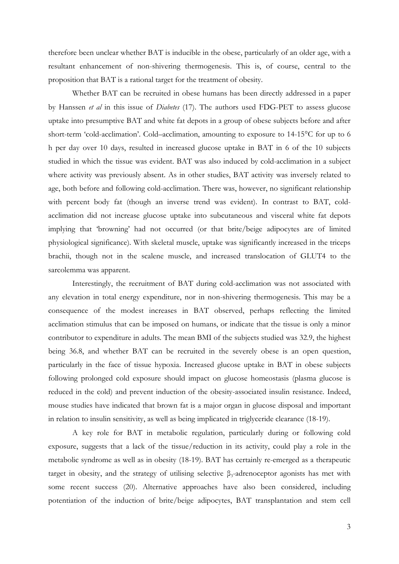therefore been unclear whether BAT is inducible in the obese, particularly of an older age, with a resultant enhancement of non-shivering thermogenesis. This is, of course, central to the proposition that BAT is a rational target for the treatment of obesity.

Whether BAT can be recruited in obese humans has been directly addressed in a paper by Hanssen *et al* in this issue of *Diabetes* (17). The authors used FDG-PET to assess glucose uptake into presumptive BAT and white fat depots in a group of obese subjects before and after short-term 'cold-acclimation'. Cold–acclimation, amounting to exposure to 14-15°C for up to 6 h per day over 10 days, resulted in increased glucose uptake in BAT in 6 of the 10 subjects studied in which the tissue was evident. BAT was also induced by cold-acclimation in a subject where activity was previously absent. As in other studies, BAT activity was inversely related to age, both before and following cold-acclimation. There was, however, no significant relationship with percent body fat (though an inverse trend was evident). In contrast to BAT, coldacclimation did not increase glucose uptake into subcutaneous and visceral white fat depots implying that 'browning' had not occurred (or that brite/beige adipocytes are of limited physiological significance). With skeletal muscle, uptake was significantly increased in the triceps brachii, though not in the scalene muscle, and increased translocation of GLUT4 to the sarcolemma was apparent.

Interestingly, the recruitment of BAT during cold-acclimation was not associated with any elevation in total energy expenditure, nor in non-shivering thermogenesis. This may be a consequence of the modest increases in BAT observed, perhaps reflecting the limited acclimation stimulus that can be imposed on humans, or indicate that the tissue is only a minor contributor to expenditure in adults. The mean BMI of the subjects studied was 32.9, the highest being 36.8, and whether BAT can be recruited in the severely obese is an open question, particularly in the face of tissue hypoxia. Increased glucose uptake in BAT in obese subjects following prolonged cold exposure should impact on glucose homeostasis (plasma glucose is reduced in the cold) and prevent induction of the obesity-associated insulin resistance. Indeed, mouse studies have indicated that brown fat is a major organ in glucose disposal and important in relation to insulin sensitivity, as well as being implicated in triglyceride clearance (18-19).

A key role for BAT in metabolic regulation, particularly during or following cold exposure, suggests that a lack of the tissue/reduction in its activity, could play a role in the metabolic syndrome as well as in obesity (18-19). BAT has certainly re-emerged as a therapeutic target in obesity, and the strategy of utilising selective  $\beta_3$ -adrenoceptor agonists has met with some recent success (20). Alternative approaches have also been considered, including potentiation of the induction of brite/beige adipocytes, BAT transplantation and stem cell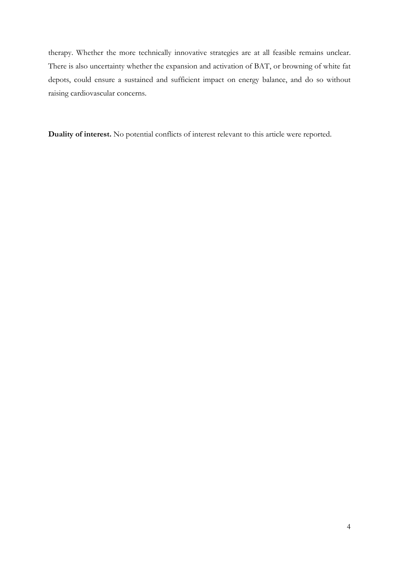therapy. Whether the more technically innovative strategies are at all feasible remains unclear. There is also uncertainty whether the expansion and activation of BAT, or browning of white fat depots, could ensure a sustained and sufficient impact on energy balance, and do so without raising cardiovascular concerns.

**Duality of interest.** No potential conflicts of interest relevant to this article were reported.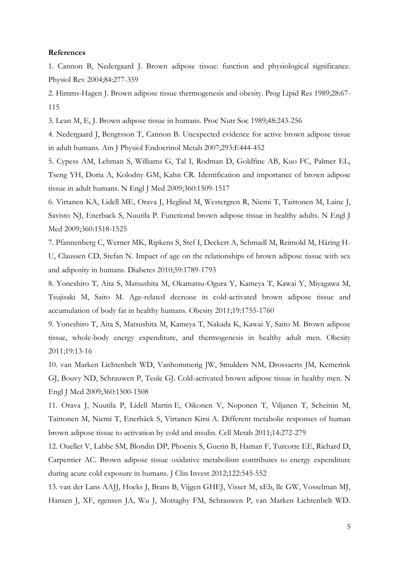## **References**

1. Cannon B, Nedergaard J. Brown adipose tissue: function and physiological significance. Physiol Rev 2004;84:277-359

2. Himms-Hagen J. Brown adipose tissue thermogenesis and obesity. Prog Lipid Res 1989;28:67- 115

3. Lean M, E, J. Brown adipose tissue in humans. Proc Nutr Soc 1989;48:243-256

4. Nedergaard J, Bengtsson T, Cannon B. Unexpected evidence for active brown adipose tissue in adult humans. Am J Physiol Endocrinol Metab 2007;293:E444-452

5. Cypess AM, Lehman S, Williams G, Tal I, Rodman D, Goldfine AB, Kuo FC, Palmer EL, Tseng YH, Doria A, Kolodny GM, Kahn CR. Identification and importance of brown adipose tissue in adult humans. N Engl J Med 2009;360:1509-1517

6. Virtanen KA, Lidell ME, Orava J, Heglind M, Westergren R, Niemi T, Taittonen M, Laine J, Savisto NJ, Enerback S, Nuutila P. Functional brown adipose tissue in healthy adults. N Engl J Med 2009;360:1518-1525

7. Pfannenberg C, Werner MK, Ripkens S, Stef I, Deckert A, Schmadl M, Reimold M, Häring H-U, Claussen CD, Stefan N. Impact of age on the relationships of brown adipose tissue with sex and adiposity in humans. Diabetes 2010;59:1789-1793

8. Yoneshiro T, Aita S, Matsushita M, Okamatsu-Ogura Y, Kameya T, Kawai Y, Miyagawa M, Tsujisaki M, Saito M. Age-related decrease in cold-activated brown adipose tissue and accumulation of body fat in healthy humans. Obesity 2011;19:1755-1760

9. Yoneshiro T, Aita S, Matsushita M, Kameya T, Nakada K, Kawai Y, Saito M. Brown adipose tissue, whole-body energy expenditure, and thermogenesis in healthy adult men. Obesity 2011;19:13-16

10. van Marken Lichtenbelt WD, Vanhommerig JW, Smulders NM, Drossaerts JM, Kemerink GJ, Bouvy ND, Schrauwen P, Teule GJ. Cold-activated brown adipose tissue in healthy men. N Engl J Med 2009;360:1500-1508

11. Orava J, Nuutila P, Lidell Martin E, Oikonen V, Noponen T, Viljanen T, Scheinin M, Taittonen M, Niemi T, Enerbäck S, Virtanen Kirsi A. Different metabolic responses of human brown adipose tissue to activation by cold and insulin. Cell Metab 2011;14:272-279

12. Ouellet V, Labbe SM, Blondin DP, Phoenix S, Guerin B, Haman F, Turcotte EE, Richard D, Carpentier AC. Brown adipose tissue oxidative metabolism contributes to energy expenditure during acute cold exposure in humans. J Clin Invest 2012;122:545-552

13. van der Lans AAJJ, Hoeks J, Brans B, Vijgen GHEJ, Visser M, xEb, lle GW, Vosselman MJ, Hansen J, XF, rgensen JA, Wu J, Mottaghy FM, Schrauwen P, van Marken Lichtenbelt WD.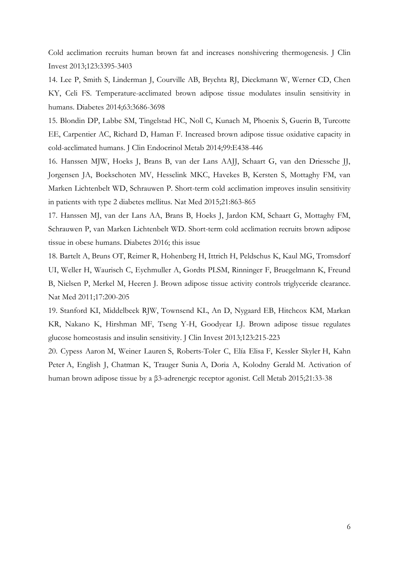Cold acclimation recruits human brown fat and increases nonshivering thermogenesis. J Clin Invest 2013;123:3395-3403

14. Lee P, Smith S, Linderman J, Courville AB, Brychta RJ, Dieckmann W, Werner CD, Chen KY, Celi FS. Temperature-acclimated brown adipose tissue modulates insulin sensitivity in humans. Diabetes 2014;63:3686-3698

15. Blondin DP, Labbe SM, Tingelstad HC, Noll C, Kunach M, Phoenix S, Guerin B, Turcotte EE, Carpentier AC, Richard D, Haman F. Increased brown adipose tissue oxidative capacity in cold-acclimated humans. J Clin Endocrinol Metab 2014;99:E438-446

16. Hanssen MJW, Hoeks J, Brans B, van der Lans AAJJ, Schaart G, van den Driessche JJ, Jorgensen JA, Boekschoten MV, Hesselink MKC, Havekes B, Kersten S, Mottaghy FM, van Marken Lichtenbelt WD, Schrauwen P. Short-term cold acclimation improves insulin sensitivity in patients with type 2 diabetes mellitus. Nat Med 2015;21:863-865

17. Hanssen MJ, van der Lans AA, Brans B, Hoeks J, Jardon KM, Schaart G, Mottaghy FM, Schrauwen P, van Marken Lichtenbelt WD. Short-term cold acclimation recruits brown adipose tissue in obese humans. Diabetes 2016; this issue

18. Bartelt A, Bruns OT, Reimer R, Hohenberg H, Ittrich H, Peldschus K, Kaul MG, Tromsdorf UI, Weller H, Waurisch C, Eychmuller A, Gordts PLSM, Rinninger F, Bruegelmann K, Freund B, Nielsen P, Merkel M, Heeren J. Brown adipose tissue activity controls triglyceride clearance. Nat Med 2011;17:200-205

19. Stanford KI, Middelbeek RJW, Townsend KL, An D, Nygaard EB, Hitchcox KM, Markan KR, Nakano K, Hirshman MF, Tseng Y-H, Goodyear LJ. Brown adipose tissue regulates glucose homeostasis and insulin sensitivity. J Clin Invest 2013;123:215-223

20. Cypess Aaron M, Weiner Lauren S, Roberts-Toler C, Elía Elisa F, Kessler Skyler H, Kahn Peter A, English J, Chatman K, Trauger Sunia A, Doria A, Kolodny Gerald M. Activation of human brown adipose tissue by a β3-adrenergic receptor agonist. Cell Metab 2015;21:33-38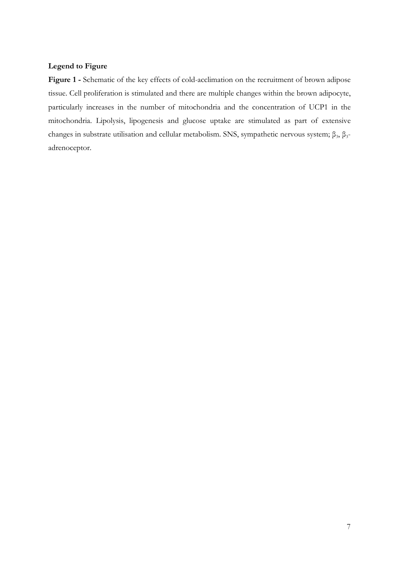## **Legend to Figure**

**Figure 1 -** Schematic of the key effects of cold-acclimation on the recruitment of brown adipose tissue. Cell proliferation is stimulated and there are multiple changes within the brown adipocyte, particularly increases in the number of mitochondria and the concentration of UCP1 in the mitochondria. Lipolysis, lipogenesis and glucose uptake are stimulated as part of extensive changes in substrate utilisation and cellular metabolism. SNS, sympathetic nervous system;  $\beta_3$ ,  $\beta_3$ adrenoceptor.